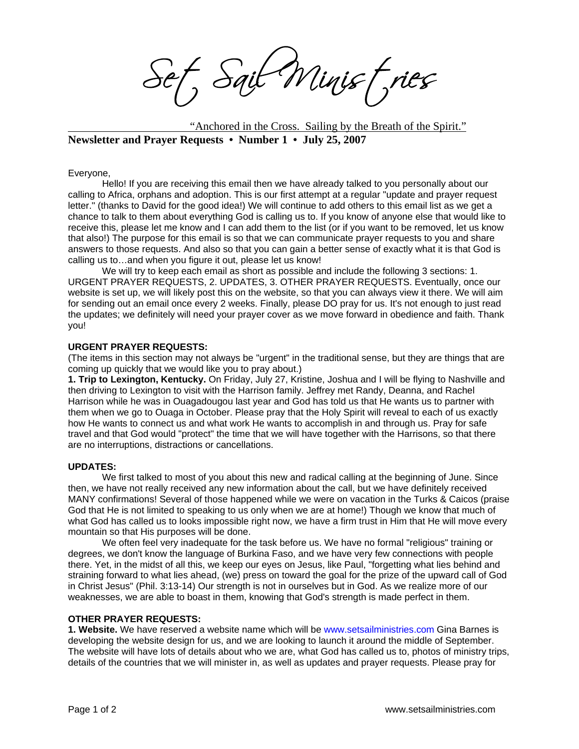Sait Minist, ries

"Anchored in the Cross. Sailing by the Breath of the Spirit." **Newsletter and Prayer Requests • Number 1 • July 25, 2007** 

Everyone,

Hello! If you are receiving this email then we have already talked to you personally about our calling to Africa, orphans and adoption. This is our first attempt at a regular "update and prayer request letter." (thanks to David for the good idea!) We will continue to add others to this email list as we get a chance to talk to them about everything God is calling us to. If you know of anyone else that would like to receive this, please let me know and I can add them to the list (or if you want to be removed, let us know that also!) The purpose for this email is so that we can communicate prayer requests to you and share answers to those requests. And also so that you can gain a better sense of exactly what it is that God is calling us to…and when you figure it out, please let us know!

We will try to keep each email as short as possible and include the following 3 sections: 1. URGENT PRAYER REQUESTS, 2. UPDATES, 3. OTHER PRAYER REQUESTS. Eventually, once our website is set up, we will likely post this on the website, so that you can always view it there. We will aim for sending out an email once every 2 weeks. Finally, please DO pray for us. It's not enough to just read the updates; we definitely will need your prayer cover as we move forward in obedience and faith. Thank you!

## **URGENT PRAYER REQUESTS:**

(The items in this section may not always be "urgent" in the traditional sense, but they are things that are coming up quickly that we would like you to pray about.)

**1. Trip to Lexington, Kentucky.** On Friday, July 27, Kristine, Joshua and I will be flying to Nashville and then driving to Lexington to visit with the Harrison family. Jeffrey met Randy, Deanna, and Rachel Harrison while he was in Ouagadougou last year and God has told us that He wants us to partner with them when we go to Ouaga in October. Please pray that the Holy Spirit will reveal to each of us exactly how He wants to connect us and what work He wants to accomplish in and through us. Pray for safe travel and that God would "protect" the time that we will have together with the Harrisons, so that there are no interruptions, distractions or cancellations.

## **UPDATES:**

We first talked to most of you about this new and radical calling at the beginning of June. Since then, we have not really received any new information about the call, but we have definitely received MANY confirmations! Several of those happened while we were on vacation in the Turks & Caicos (praise God that He is not limited to speaking to us only when we are at home!) Though we know that much of what God has called us to looks impossible right now, we have a firm trust in Him that He will move every mountain so that His purposes will be done.

We often feel very inadequate for the task before us. We have no formal "religious" training or degrees, we don't know the language of Burkina Faso, and we have very few connections with people there. Yet, in the midst of all this, we keep our eyes on Jesus, like Paul, "forgetting what lies behind and straining forward to what lies ahead, (we) press on toward the goal for the prize of the upward call of God in Christ Jesus" (Phil. 3:13-14) Our strength is not in ourselves but in God. As we realize more of our weaknesses, we are able to boast in them, knowing that God's strength is made perfect in them.

## **OTHER PRAYER REQUESTS:**

**1. Website.** We have reserved a website name which will be www.setsailministries.com Gina Barnes is developing the website design for us, and we are looking to launch it around the middle of September. The website will have lots of details about who we are, what God has called us to, photos of ministry trips, details of the countries that we will minister in, as well as updates and prayer requests. Please pray for